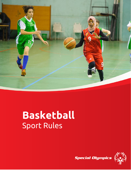

# **Basketball** Sport Rules



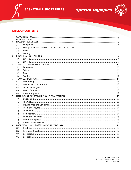





## **TABLE OF CONTENTS**

| 1. |     |  |  |
|----|-----|--|--|
| 2. |     |  |  |
| 3. |     |  |  |
|    | 3.1 |  |  |
|    | 3.2 |  |  |
|    | 3.3 |  |  |
|    | 3.4 |  |  |
| 4. |     |  |  |
|    | 4.1 |  |  |
|    | 4.2 |  |  |
| 5. |     |  |  |
|    | 5.1 |  |  |
|    | 5.2 |  |  |
|    | 5.3 |  |  |
|    | 5.4 |  |  |
| 6. |     |  |  |
|    | 6.1 |  |  |
|    | 6.2 |  |  |
|    | 6.3 |  |  |
|    | 6.4 |  |  |
|    | 6.5 |  |  |
| 7. |     |  |  |
|    | 7.1 |  |  |
|    | 7.2 |  |  |
|    | 7.3 |  |  |
|    | 7.4 |  |  |
|    | 7.5 |  |  |
|    | 7.6 |  |  |
|    | 7.7 |  |  |
|    | 7.8 |  |  |
|    | 7.9 |  |  |
| 8. |     |  |  |
|    | 8.1 |  |  |
|    | 8.2 |  |  |
|    | 9.1 |  |  |
|    | 9.2 |  |  |
|    |     |  |  |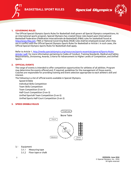





#### <span id="page-2-0"></span>**1. GOVERNING RULES**

The Official Special Olympics Sports Rules for Basketball shall govern all Special Olympics competitions**.** As an international sports program, Special Olympics has created these rules based upon International Basketball Federation (Fédération Internationale de Basketball) (FIBA) rules for basketball found at [http://www.fiba.com.](http://www.fiba.com/) FIBA or National Governing Body (NGB) rules shall be employed except when they are in conflict with the Official Special Olympics Sports Rules for Basketball or Article I. In such cases, the Official Special Olympics Sports Rules for Basketball shall apply.

Refer to Article 1[, http://media.specialolympics.org/resources/sports-essentials/general/Sports-Rules-](http://media.specialolympics.org/resources/sports-essentials/general/Sports-Rules-Article-1.pdf)[Article-1.pdf,](http://media.specialolympics.org/resources/sports-essentials/general/Sports-Rules-Article-1.pdf) for more information pertaining to Codes of Conduct, Training Standards, Medical and Safety Requirements, Divisioning, Awards, Criteria for Advancement to Higher Levels of Competition, and Unified Sports.

#### <span id="page-2-1"></span>**2. OFFICIAL EVENTS**

The range of events is intended to offer competition opportunities for athletes of all abilities. Program may determine the events offered and, if required, guidelines for the management of those events. Coaches are responsible for providing training and event selection appropriate to each athlete's skill and interest.

The following is a list of official events available in Special Olympics.

Speed Dribble Individual Skills Competition Team Skills Competition Team Competition (5-on-5) Half-Court Competition (3-on-3) Unified Sports® Team Competition (5-on-5) Unified Sports Half-Court Competition (3-on-3)

#### <span id="page-2-2"></span>**3. SPEED DRIBBLE RULES**



- <span id="page-2-3"></span> $3.1$ Equipment
	- $3.1.1$ Measuring tape
	- Floor tape or chalk  $3.1.2$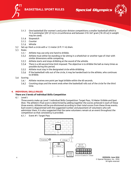



- $3.1.3$ One basketball (for women's and junior division competitions a smaller basketball which is 72.4 centimeter [28 1/2 in] in circumference and between 510–567 gram [18–20 oz] in weight may be used).
- $3.1.4$ Stopwatch
- $3.1.5$ Counter
- $3.1.6$ Whistle
- <span id="page-3-0"></span> $3.2$ Set-up: Mark a circle with a 1.5 meter (4 ft 11 in) diam.
- <span id="page-3-1"></span> $3.3$ Rules
	- $3.3.1$ Athlete may use only one hand to dribble.
	- $3.3.2$ Athlete must either be standing or be sitting in a wheelchair or another type of chair with similar dimensions while competing.
	- $3.3.3$ Athlete starts and stops dribbling at the sound of the whistle.
	- $3.3.4$ There is a 60-second time limit imposed. The objective is to dribble the ball as many times as possible during this period.
	- $3.3.5$ Athlete must stay in the designated circle while dribbling.
	- $3.3.6$ If the basketball rolls out of the circle, it may be handed back to the athlete, who continues to dribble.
- <span id="page-3-2"></span>3.4 Scoring
	- $3.4.1$ Athlete receives one point per legal dribble within the 60 seconds.
	- $3.4.2$ Counting stops and the event ends when the basketball rolls out of the circle for the third time.

#### <span id="page-3-3"></span>**4. INDIVIDUAL SKILLS RULES**

#### **There are 2 levels of Individual Skills Competition**

<span id="page-3-4"></span> $4.1$ Level I:

> Three events make up Level 1 Individual Skills Competition: Target Pass, 10 Meter Dribble and Spot Shot. The athlete's final score is determined by adding together the scores achieved in each of these three events. Athletes will be pre-divisioned according to their total scores from these three events. Each event is diagrammed with the suggested number and placement of volunteers who will administer them. It is also suggested that the same volunteers remain at an event throughout the competition so that consistency is provided.

 $4.1.1$ Event #1: Target Pass

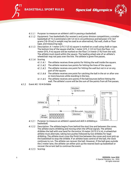



- $4.1.1.1$ Purpose: to measure an athlete's skill in passing a basketball.
- Equipment: Two basketballs (for women's and junior division competitions, a smaller basketball of 72.4 centimeters [28 1/2 in] in circumference and between 510–567 grams [18–20 oz] in weight may be used as an alternative), flat wall, chalk or floor tape, and measuring tape.
- Description: A 1 meter (3 ft 3 1/2 in) square is marked on a wall using chalk or tape. The bottom line of the square shall be 1 meter (3 ft, 3 1/2 in) from the floor. A 3 meter (9 ft, 9 in) square will be marked on the floor 2.4 meter (7 ft) from the wall. The athlete must stand within the square. The leading wheel axle of an athlete's wheelchair may not pass over the line. The athlete is given five passes.
- 4.1.1.4 Scoring
	- 4.1.1.4.1 The athlete receives three points for hitting the wall inside the square.
	- 4.1.1.4.2 The athlete receives two points for hitting the lines of the square.
	- 4.1.1.4.3 The athlete receives one point for hitting the wall but not in or on any part of the square.
	- The athlete receives one point for catching the ball in the air or after one 4.1.1.4.4 or more bounces while standing in the box.
	- 4.1.1.4.5 The athlete receives zero points if the ball bounces before hitting the wall. The athlete's score will be the sum of the points from all five passes.
- $4.1.2$ Event #2: 10 M Dribble



- $4.1.2.1$ Purpose: to measure an athlete's speed and skill in dribbling a basketball.
- $4.1.2.2$ Description: The athlete begins from behind the start line and between the cones. The athlete starts dribbling and moving when the official signals. The athlete dribbles the ball with one hand for the entire 10 meter (32 ft 9 ¾ in). A wheelchair athlete must alternate, taking two pushes followed by two dribbles for legal dribbling. The athlete must cross the finish line between the cones and must pick up the basketball to stop the dribble. If an athlete loses control of the ball, the clock continues to run. The athlete can recover the ball. However, if the ball goes outside the 2 meter lane, the athlete can either pick up the nearest back-up basketball or recover the errant ball to continue the event.
- 4.1.2.3 Scoring: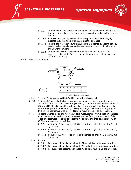

- $4.1.2.3.1$ The athlete will be timed from the signal "Go" to when he/she crosses the finish line between the cones and picks up the basketball to stop the dribble.
- 4.1.2.3.2 A one-second penalty will be added every time the athlete illegally dribbles (e.g., two-hand dribbles, carries the ball, etc.).
- 4.1.2.3.3 The athlete will receive two trials. Each trial is scored by adding penalty points to the time elapsed and converting the total to points based on the Conversion Chart.
- 4.1.2.3.4 The athlete's score for the event is his/her best of the two trials converted into points. (In case of a tie, the actual time will be used to differentiate place).

#### $4.1.3$ Event #3: Spot Shot



Division Seated in Chairs

- $4.1.3.1$ Purpose: To measure an athlete's skill in shooting a basketball.
- Equipment: Two basketballs (for women's and junior divisions competitions, a smaller basketball of 72.4 centimeter [28 1/2 in] in circumference and between 510- 567 gram [18-20 oz] in weight may be used as an alternative), floor tape or chalk, measuring tape and a 3.05 meter (10 ft) regulation goal with backboard (for junior division competitions, a 2.44 meter [8 ft] goal may be used as an alternative).
- Six spots are marked on the floor. Start each measurement from a spot on the floor under the front of the rim. The athlete attempts two field goals from each of six spots. The attempts are taken at spots #2, #4 and #6, and then at spots #1, #3 and #5. The spots are marked as follows:
	- 4.1.3.3.1  $\#1 \& \#2 = 1.5$  meter (4 ft, 11 in) to the left and right plus 1 meter (3 ft, 3 1/2 in) out.
	- 4.1.3.3.2 #3 & #4 =1.5 meter (4 ft, 11 in) to the left and right plus 1.5 meter (4 ft, 11 in) out.
	- 4.1.3.3.3 #5 & #6 = 1.5 meter (4 ft, 11 in) to the left and right plus 2 meter (6 ft, 6 3/4 in) out.
- 4.1.3.4 Scoring
	- $4.1.3.4.1$ For every field goal made at spots #1 and #2, two points are awarded.
	- 4.1.3.4.2 For every field goal made at spots # 3 and #4, three points are awarded.
	- 4.1.3.4.3 For every field goal made at spots # 5 and #6, four points are awarded.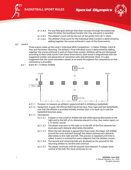

4.1.3.4.4 For any field goal attempt that does not pass through the basket but does hit either the backboard and/or the ring, one point is awarded.

**Special Olympics** 

- 4.1.3.4.5 The athlete's score will be the sum of the points from all 12 shots.
- 4.1.3.4.6 The athlete's final score for the Individual Skills Contest is determined by adding together the scores achieved in each of the three events.
- <span id="page-6-0"></span>4.2 Level II

Three events make up the Level 2 Individual Skills Competition: 12 Meter Dribble, Catch & Pass and Perimeter Shooting. The athlete's final individual score is determined by adding together the scores achieved in each of these three events. Athletes will be pre-divisioned according to their total scores from these three events. Each event is diagrammed with the suggested number and placement of volunteers who will administer them. It is also suggested that the same volunteers remain at an event throughout the competition so that consistency is provided.

 $4.2.1$ Event #1: 12 Meter Dribble



- Purpose: to measure an athlete's speed and skill in dribbling a basketball.
- Equipment: A goal, the official NGB free throw lane, floor tape and two basketballs, one that the athlete is provided initially, another that is for back-up in case the basketball bounces away.
- 4.2.1.3 Description:
	- 4.2.1.3.1 A player is instructed to dribble the ball while passing alternately to the right and to the left of six obstacles placed in a line, two meters apart, on a 12-meter course.
	- 4.2.1.3.2 The player may start to the right or to the left of the first obstacle but must pass each obstacle alternately thereafter.
	- $4.2.1.3.3$ When the last obstacle is passed (the final cone), the player will dribble around the cone and back through the slalom passing each obstacle alternately to the right and left. This process is repeated until time is called. A point is received for every midpoint that the athlete crosses.
	- The second and remaining balls are all placed on the ground for the 4.2.1.3.4 returning athlete to retrieve and continue.
	- 4.2.1.3.5 The player continues until 60 seconds have elapsed. If a player loses control of the ball, the clock continues to run.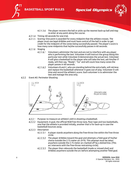

4.2.1.3.6 The player recovers the ball or picks up the nearest back-up ball and may re-enter at any point along the course.

**Special Olympics** 

- 4.2.1.4 Timing: 60 seconds for one trial.
- 4.2.1.5 Scoring: One point is awarded for every midpoint that the athlete crosses. The player must use legal dribbles and must have control of the ball in order to get credit for the midpoint of the cones being successfully passed. The player's score is how many cone midpoints that he/she successfully passes in 60 seconds.
- $4.2.1.6$  Staging
	- $4.2.1.6.1$ Volunteers administer the test and are not to interfere with any player who is performing the test. Volunteer A will instruct the group doing this particular test while Volunteer 8 demonstrates the actual test. Volunteer A will give a basketball to the player who will take the test, ask him/her if ready, will then say, "Ready", "Go" and will count how many cones the player passes in 60 seconds.
	- 4.2.1.6.2 Volunteers B and C, who are standing behind the extra balls, will retrieve and replace the basketball whenever it goes out of play. Volunteer D will time and record the athlete's score. Each volunteer is to administer the test and manage the area only.
- $4.2.2$ Event #2: Perimeter Shooting



- $4.2.2.1$ Purpose: to measure an athlete's skill in shooting a basketball.
- Equipment: A goal, the official NGB free throw lane, floor tape and two basketballs,  $4.2.2.2$ one that the athlete is provided initially, another that is for back-up in case the basketball bounces away.
- 4.2.2.3 Description
	- $4.2.2.3.1$ A player stands anywhere along the free-throw line within the free throw circle.
	- The player dribbles toward the goal and attempts a field goal of his/her 4.2.2.3.2 choice outside the 2.75 meter arc (9 ft). This attempt must be taken anywhere outside the 2.75 meter arc marked off by a dotted line. [This arc intersects with the free-throw restraining circle].
	- The player then rebounds the basketball (made or missed shot) and 4.2.2.3.3 dribbles anywhere outside the arc before attempting another field goal.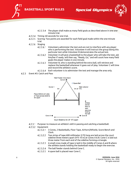



- The player shall make as many field goals as described above in one oneminute trial.
- 4.2.2.4 Timing: 60 seconds for one trial.
- 4.2.2.5 Scoring: Two points are awarded for each field goal made within the one-minute trial.
- $4.2.2.6$  Staging
	- 4.2.2.6.1 Volunteers administer the test and are not to interfere with any player who is performing the test. Volunteer A will instruct the group doing this particular test while Volunteer B demonstrates the actual test.
	- $4.2.2.6.2$ Volunteer A will give a basketball to the player who will take the test, ask him/her if ready, will then say, "Ready, Go," and will count how many field goals the player makes in one minute.
	- 4.2.2.6.3 Volunteer B, who is standing behind the extra ball, will retrieve and replace the basketball whenever it goes out of play. Volunteer C will time and record the athlete's score.
	- 4.2.2.6.4 Each volunteer is to administer the test and manage the area only.
- $4.2.3$ Event #3: Catch and Pass



Court Sideline 3m (9' 10") apart

- Purpose: to measure an athlete's skill in passing and catching a basketball.
- 4.2.3.2 Equipment
	- 4.2.3.2.1 3 Cones, 2 Basketballs, Floor Tape, Airhorn/Whistle, Score Bench and Clock.
	- 4.2.3.2.2 Two strips of tape 600 millimeter (2 ft) long are laid across the court sideline three meters apart (9 ft 10 in) at Cones A & B. Cone C is laid out three meter from each end of the sideline forming a triangle.
	- $4.2.3.2.3$ A small cross made of tape is laid in the middle of Cones A and B where the athlete stands holding the basketball ready to begin the exercise.
	- 4.2.3.2.4 The ball feeder stands behind Cone C.
	- 4.2.3.2.5 A spare ball is placed near Cone C.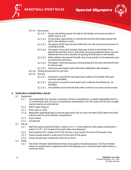



- 4.2.3.3 Description
	- 4.2.3.3.1 On go, the athlete passes the ball to the feeder and moves quickly to either cone A or B.
	- As the player approaches or reaches the end line the feeder passes the 4.2.3.3.2 ball to the athlete to catch.
	- $4.2.3.3.3$ The player MUST have at least ONE foot over the end line at the point of catching the ball.
	- 4.2.3.3.4 The player must catch the ball, then pass it back to the feeder from behind the end line. One or both feet can be grounded but both must be behind the line at the moment of passing the ball back to the feeder.
	- 4.2.3.3.5 When athlete has passed the ball, they move quickly to the opposite cone to receive the next pass.
	- 4.2.3.3.6 The player continues passing, moving along the line and catching the ball for 60 seconds.
	- 4.2.3.3.7 A bounce pass maybe used with lower ability/less able athletes.
- 4.2.3.4 Timing: 60 seconds for one trial.
- $4.2.3.5$  Scoring
	- One point is scored for each good pass made to the feeder (the pass 4.2.3.5.1 must be catchable).
	- 4.2.3.5.2 One point is scored for each good catch made by the athlete (i.e. no fumbles).
	- 4.2.3.5.3 The athletes must have the ball under control or no point can be scored.

#### <span id="page-9-1"></span><span id="page-9-0"></span>**5. TEAM SKILLS BASKETBALL RULES**

- 5.1 Equipment
	- $5.1.1$ Two basketballs (for women's and junior division competitions, a smaller basketball which is 72.4 centimeter [28 1/2 in] in circumference and between 510–567 gram [18–20 oz] in weight may be used as an alternative).
	- $5.1.2$ Metric tape measure
	- $5.1.3$ Floor tape or chalk
	- $5.1.4$ Regulation basketball goal (a shorter goal which has its ring 2.44 meter [8 ft] above the floor may be used for junior division competition).
	- $5.1.5$ Score sheets
	- $5.1.6$ **Scoreboard**
- <span id="page-9-2"></span> $5.2$ Set-up
	- Mark five spots around the floor, similar to a 2–1–2 zone defense with players positioned 4  $5.2.1$ meters (13 ft 1 1/2 in) apart from each other (see diagram).
	- $5.2.2$ Mark position #5 2 meters (6 ft 6 3/4 in) from a spot under the front of the goal's ring.
	- $5.2.3$ Teams should submit a roster prior to the start of the game.
	- $5.2.4$ Teams should wear numbered uniforms or shirts.
- <span id="page-9-3"></span> $5.3$ Rules
	- $5.3.1$ The Event Director shall determine how many games should be played. Two five-member teams are positioned on opposite ends of the playing court. Only one team shall conduct a round at a time.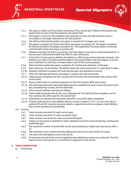



- $5.3.2$ The game is made up of two halves consisting of five rounds each. Players will be given one opportunity at each of the five positions during the half.
- $5.3.3$ Each player on the first five-member team attempts to catch the ball and then throw it accurately to the player stationed at the next position.
- $5.3.4$ The official shall hand the ball to the player in position #1 to begin each round.
- $5.3.5$ The player in position #1 throws the ball to the player at position #2. The player at position #2 throws the ball to the player at position #3. This sequential throwing rotation continues until the ball reaches the player at position #5.
- Athletes may pass the ball in any manner, but each player must pass in numerical sequence. A  $5.3.6$ bounce pass is allowed provided that there is only one bounce.
- $5.3.7$ If the ball is thrown past an athlete, the athlete or official may retrieve the ball. However, the athlete must return to his/her position before throwing the ball to the next player. A correct pass is defined as a ball that is thrown within reach of the receiving player.
- $5.3.8$ When the ball reaches the player in position #5, he/she then attempts a field goal.
- $5.3.9$ Slam dunks are not permitted. The athlete shall not receive any points if a slam dunk is taken.
- 5.3.10 Athletes stationed in position #5 shall only be given one attempt at scoring.
- 5.3.11 After the field goal attempt by the player in position #5, the round ends.
- Following the completion of the round by the first team, the second team will conduct their initial round.
- Players shall rotate in numerical sequence to the next position after each round.
- Play alternates between each team following the completion of each round. Once each team has completed five rounds, the first half ends.
- 5.3.15 A five-minute halftime intermission follows.
- 5.3.16 Teams shall exchange ends of the court following the first half and then complete a set of five rounds at the other goal for the second half.
- 5.3.17 Substitutes are allowed into the game only after a round has been completed.
- Coaches shall remain on the sideline which is at least 4 meters (13 ft 11/2 in) to the side of position #2 and #4. Coaches may give verbal or signed instructions to players. Deaf athletes may receive assistance in positioning.
- <span id="page-10-0"></span>5.4 Scoring
	- $5.4.1$ Team receives one point for each correct pass.
	- $5.4.2$ Team receives one point for each successful catch.
	- $5.4.3$ Team receives two points for each successful field goal.
	- $5.4.4$ A bonus of one point is awarded for each complete successful round of passing, catching and made field goal.
	- $5.4.5$ The maximum number of points that can be accumulated by a single team during one half is 55.
	- 5.4.6 The final team score is determined by adding the scores from each of the 10 rounds.
	- $5.4.7$ The team with the highest score is the winner.
	- 5.4.8 If the teams are tied at the end of regulation play, additional rounds are conducted. The first team to score more points in a round than its opponent is the winner.

## <span id="page-10-2"></span><span id="page-10-1"></span>**6. TEAM COMPETITION**

6.1 Divisioning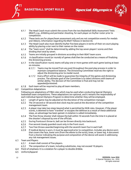



- $6.1.1$ The Head Coach must submit the scores from the two Basketball Skills Assessment Tests (BSAT), e.g., dribbling and perimeter shooting, for each player on his/her roster prior to competition.
- $6.1.2$ These tests are for player/team assessment only and are not competition events for medals and ribbons. Information regarding the BSAT follows in Section D).
- The Head Coach also must identify his/her five best players in terms of their on-court playing  $6.1.3$ ability by placing a star next to their names on the roster.
- $6.1.4$ The "team score" shall be determined by adding the top seven players' scores and then dividing that total by seven.
- $6.1.5$ Teams are initially grouped in divisions according to their BSAT team score.
- $6.1.6$ A classification round (or rounds) of games shall then be conducted as a means of finalizing the divisioning process.
- $6.1.7$ In the classification round, teams will play one or more games with each game lasting at least six minutes.
	- $6.1.7.1$ Teams may be moved from any pool throughout the pool play process in order to maintain competitive balance. The Divisioning Committee reserves the right to adjust the divisioning prior to medal round.
	- Every effort will be made to guarantee the integrity of the games and divisioning  $6.1.7.2$ process. The ultimate goal of the Committee is to select divisions with teams of similar ability. The decision of the Committee is final and may not be appealed/protested.
- Each team will be required to play all team members.  $6.1.8$
- <span id="page-11-0"></span>6.2 Competition Adaptations

Following are adaptations of FIBA rules which may be used when conducting Special Olympics basketball team competitions. These adaptations are optional, and it remains the responsibility of each individual Special Olympics Program to determine whether they will be employed.

- $6.2.1$ Length of game may be adjusted at the discretion of the competition manager.
- $6.2.2$ The 24-second or 30-second shot clock may be used at the discretion of the competition management team.
- $6.2.3$ A player may take two steps beyond what is permitted by NGB rules. However, if the player scores, is deemed to have "traveled" or escapes the defense as a result of these additional steps, an advantage has been gained. A violation is called immediately.
- $6.2.4$ The free throw shooter shall release the ball within 10 seconds from the time it is placed at the shooter's disposal by one of the officials.
- $6.2.5$ During frontcourt throw-in, ball can be thrown directly into backcourt.
- $6.2.6$ Five second closely guarded count only in the front court.
- $6.2.7$ Two free throws awarded beginning with the seventh team foul in each half.
- $6.2.8$ If medical device is worn, it must be approved prior to competition. Includes any device worn that covers the face, lower arm (from the elbow to the wrist), knee, or lower leg. A document from a Doctor indicating the purpose and composition of the device will assist in addressing any risk management issues.
- <span id="page-11-1"></span>6.3 Team and Players
	- A team shall consist of five players.  $6.3.1$
	- $6.3.2$ The composition of a team, including substitutes, may not exceed 10 players.
- <span id="page-11-2"></span>6.4 Point of emphasis: It is a violation for a player to double dribble.
- <span id="page-11-3"></span> $6.5$ Uniform/Apparel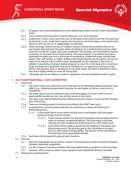



- $6.5.1$ All players must wear basketball attire with identifying numbers and flat rubber sole athletic shoes.
- $6.5.2$ Team uniform shirts and shorts must be identical in trim color and style.
- $6.5.3$ Undershirts, if worn, must match the color of the body of the uniform (not the trim) and must be identical in color. Undershirts may be worn by some or all of the players, and may be short sleeve or tank top (no cut or ragged edges are allowed).
- $6.5.4$ Head Coverings: Head coverings for religious reasons must be documented with prior to tournament play and meet the same safety standards as for a medical head covering. Head covering must be of a single, solid color unadorned. This includes, but not limited to, sequins, trimmings, or any other forms of decorations. The only exception is an athlete may wear a head band no wider than two in and made of nonabrasive, unadorned single colored cloth, elastic, fiber, soft leather or rubber. Rubber/cloth (elastic) bands may be used to control hair. They do not need to match uniform color. Sweatbands are also allowed. In the event an athlete is required by a licensed medical physician to cover his or her head with a covering or wrap, the physician's statement must be on file before it can approve a covering or wrap, which is not abrasive, hard, or dangerous to any other player and which is attached in such a way that is highly unlikely to come off during play.
- $6.5.5$ Individuals who do not adhere to uniform regulations will not be allowed to enter a game.

#### <span id="page-12-1"></span><span id="page-12-0"></span>**7. HALF-COURT BASKETBALL: 3-ON-3 COMPETITION**

- 7.1 Divisioning
	- $7.1.1$ The Head Coach must submit the scores from both of the Basketball Skills Assessment Tests (BSAT), e.g., dribbling and perimeter shooting, for each player on his/her roster prior to competition.
	- $7.1.2$ The Head Coach must also identify his/her three best players in terms of their on-court playing ability by placing a star next to their names on the roster.
	- The team score shall be determined by adding the top four players' scores and then dividing  $7.1.3$ that total by four.
	- $7.1.4$ Teams are initially grouped in divisions according to their BSAT team score.
	- $7.1.5$ A classification round of games shall then be conducted as a means of finalizing the divisioning process.
		- 7.1.5.1 In the classification round, teams will play one or more games with each game lasting no longer than six minutes.
			- 7.1.5.1.1 Teams may be moved from any pool throughout the pool play process in order to maintain competitive balance. The Divisioning Committee reserves the right to adjust the divisioning prior to the medal round.
			- 7.1.5.1.2 Every effort will be made to guarantee the integrity of the games and divisioning process. The ultimate goal of the Committee is to select divisions with teams of similar ability. The decision of the Committee is final and may not be appealed/protested.
	- 7.1.6 Each team will be required to play all team members.
- <span id="page-12-2"></span>7.2 The Goal
	- $7.2.1$ Half-court basketball may be used as a means of increasing the number of teams for Special Olympics basketball competition.
	- $7.2.2$ It is also a means of assisting athletes with lower ability levels to progress to full court play.
	- $7.2.3$ However, efforts must be made to play regulation team basketball whenever possible.
- <span id="page-12-3"></span>Playing Area and Equipment  $7.3$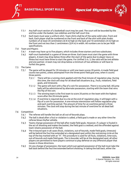



- $7.3.1$ Any half-court section of a basketball court may be used. The court will be bounded by the end line under the basket, two sidelines and the half-court line.
- $7.3.2$ Each team must wear a uniform shirt. Team shirts shall be of the same solid color, front and back. Each player shall be numbered on the front and back of the shirt with plain Arabic numbers of at least 20 centimeters (6-8 in) high on the back and 10 centimeters (4 in) high on the front and not less than 2 centimeters (3/4 in) in width. All numbers are to be per NGB specifications.
- <span id="page-13-0"></span>7.4 Team and Players
	- $7.4.1$ A team may have up to five players, which includes three starters and two substitutes.
	- $7.4.2$ Half-court basketball is a game of three-on-three. Each team must start the game with three players. A team may drop below three after the start of the game due to player injury or illness but must have three to start the game. For Unified 3 vs. 3, the ratio will be one athlete and one partner. A team may not drop below a minimum of two athletes or will have to forfeit the game.
- <span id="page-13-1"></span>7.5 The Game
	- The game will be played for 20 minutes or until one team scores 20 points. A made field goal  $7.5.1$ counts two points, unless attempted from the three-point field goal area, when it counts three points.
		- 7.5.1.1 There will be a running clock applied until the final minute of regulation play. During this time, the clock will stop for all dead ball situations (e.g., fouls, violations, field goals, and timeouts).
		- $7.5.1.2$ The game will start with a flip of a coin for possession. There is no jump ball. All jump balls will be administered by alternate possession, starting with the team that wins the flip of the coin.
		- 7.5.1.3 The winning team is the first team to score 20 points or the team with the highest score after the 20-minute game.
		- If overtime is required due to a tie at the end of regulation play, it will begin with a flip of a coin for possession. A one-minute intermission will follow regulation play and each overtime period. The amount of time for an overtime period is three minutes. The clock will stop during the last minute of overtime for all dead ball situations.

## <span id="page-13-2"></span>7.6 Competition

- $7.6.1$ The referee will handle the ball on all out-of-bounds plays.
- $7.6.2$ The ball is dead after a foul or violation is called, a field goal is made or any other time the referee blows his/her whistle.
- $7.6.3$ Teams change possession of the ball after made field goals. However, if a player is fouled in the act of shooting and makes the basket, the field goal is credited, and the offended against team retains possession of the ball.
- 7.6.4 The in-bound spot in all cases (fouls, violations, out-of-bounds, made field goals, timeouts) will be behind the foul line extended at a designated spot within the restraining circle at the top of the key marked with an "X". This procedure is used for all fouls, violations, time-outs, out-of-bounds and made field goals. The in-bounder will be at the designated spot; all other players are permitted to have players continue to play defense on any offensive player that moves in those directions.
- 7.6.5 On any change of possession, the team which just gained possession of the ball must take the ball back behind the foul line extended before shooting. In taking the ball back, either the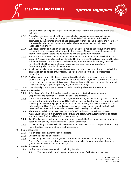



ball or the foot of the player in possession must touch the foul line extended or the area behind it.

- 7.6.6 A violation has occurred when the defense who has just gained possession of the ball attempts a field goal without taking it back behind the foul line extended. If a shot is attempted by the defense after a gained possession without taking it back to the free-throw line extended, the possession returns to the offense as a dead ball and will need to be inbounded from the "X".
- $7.6.7$ Substitutions may be made on a dead ball. When one team makes a substitution, the other team must be given an opportunity to substitute as well. Players entering the game must report to the scorer's table and be beckoned into the game by the referee.
- 7.6.8 Two 60-second timeouts are allowed per team. When a timeout is called, the clock will be stopped. A player injury timeout may be called by the referee. The referee may stop the clock at his/her discretion and is advised to do so at any time. For example, allowing the clock to run when the ball bounces well out of play gives one team an unfair advantage. Consequently, the clock should be stopped.
- $7.6.9$ A held ball is called when opposing players have one or both hands so firmly on the ball that possession can be gained only by force. The ball is awarded on the basis of alternate possession.
- 7.6.10 On those courts where the basket support is on the playing court, a player whose body touches the support is not considered out-of-bounds unless he/she has control of the ball. If the ball touches the support, it is considered out-of-bounds. No player may use the support to gain advantage or put an opposing player at a disadvantage.
- 7.6.11 Officials will grant a player or a coach's oral or hand signal request for a timeout.
- <span id="page-14-0"></span> $7.7$ Fouls and Penalties
	- $7.7.1$ A foul is an infraction of the rules involving personal contact with an opponent or unsportsmanlike behavior. It is charged against the offender.
	- $7.7.2$ On all fouls (personal, common, technical), the offended against team will get possession of the ball at the designated spot behind the foul line extended and within the restraining circle at the top of the key. If a player is fouled in the act of shooting and makes the basket, the field goal is credited. The offended against team also retains possession of the ball. In all cases, no free throws will be awarded or attempted. (See diagram below).
	- $7.7.3$ There are no individual or team foul limits in 3-on-3 half-court competition. However, misconduct will result in a warning to the player and coach. Continual misconduct or flagrant and intentional fouling will result in player dismissal.
	- $7.7.4$ An offensive player, including the shooter, may remain in the free throw lane for only three seconds. The penalty for this infraction is loss of possession.
	- $7.7.5$ A player making a throw-in shall have five seconds to release the ball. The penalty for taking more than five seconds shall be loss of possession.
- <span id="page-14-1"></span>7.8 Points of Emphasis
	- 7.8.1 It is a violation for player to "double dribble."
	- $7.8.2$ Concerning optional adaptations:
	- $7.8.3$ A player may take two steps beyond what is allowable. However, if the player scores, "travels," or escapes the defense as a result of these extra steps, an advantage has been gained. A violation is called immediately.
- <span id="page-14-2"></span>7.9 Unified Sports® Events
	- Unified Sports Team Competition (including 3-on-3)  $7.9.1$ 
		- 7.9.1.1 The roster shall contain a proportionate number of athletes and partners.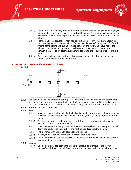



7.9.1.2 Team 3-on-3: A team may drop below three after the start of the game due to player injury or illness but must have three to start the game. The minimum allowable ratio will be one athlete and one partner. Failure to adhere to the required ratio results in a forfeit.

**Special Olympics** 

- 7.9.1.3 Team 5-on 5: Five players are required to start a game. FIBA rules allow a team to continue to play with a lineup with as few as two players before a game is forfeited. After a game begins and during competition, only the following lineup ratios are allowed: 3 athletes and 2 partners, 2 athletes and 2 partners, 2 athletes and 1 partner, 1 athlete and 1 partners. Failure to adhere to the required ratio results in a forfeit.
- 7.9.1.4 Each team shall have an adult non-playing coach responsible for the lineup and conduct of the team during competition.

#### <span id="page-15-1"></span><span id="page-15-0"></span>**8. BASKETBALL SKILLS ASSESSMENT TESTS (BSAT)**

8.1 Dribbling



- Set-up: An area of the basketball court (preferably along a sideline or down the center line), 8.1.1 six cones, floor tape and four basketballs one that the athlete is provided initially, two others that are for back-up in case the basketball bounces away, and one more to continue the test.
- $8.1.2$ Time: 60 seconds for one trial.
- $8.1.3$ Test
	- $8.1.3.1$ A player is instructed to dribble the ball while passing alternately to the right and to the left of six obstacles placed in a line, 2 meters (6 ft 6 3/4 in) apart, on a 12 meter course.
	- 8.1.3.2 The player may start to the right or to the left of the first obstacle but must pass each obstacle alternately thereafter.
	- When the last obstacle is passed and the finish line reached, the player puts the ball down, sprints back to the start for the next ball, and repeats the slalom.
	- 8.1.3.4 The player continues until 60 seconds have elapsed.
	- 8.1.3.5 If a player loses control of the ball, the clock continues to run.
	- 8.1.3.6 The player recovers the ball or picks up the nearest back-up ball and may re-enter at any point along the course.
- 8.1.4 Scoring
	- 8.1.4.1 One point is awarded each time a cone is passed. (For example, if the player successfully dribbles the ball from the starting line, weaves in and out through the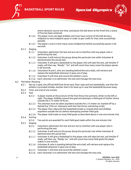



entire obstacle course one time, and places the ball down at the finish line, a score of five has been achieved.

- 8.1.4.2 The player must use legal dribbles and must have control of the ball during a midpoint-to-next-midpoint space in order to get credit for that cone successfully passed).
- 8.1.4.3 The player's score is how many cones (midpoints) he/she successfully passes in 60 seconds.
- 8.1.5 Staging
	- Volunteers administer the test and are not to interfere with any player who is performing the test.
	- Volunteer A will instruct the group doing this particular test while Volunteer B demonstrates the actual test.
	- Volunteer A will give a basketball to the player who will take the test, ask him/her if ready, will then say, "Ready", "Go" and will count how many cones the player passes in 60 seconds.
	- Volunteers B and C, who are standing behind the extra balls, will retrieve and replace the basketball whenever it goes out of play.
	- Volunteer D will time and record the athlete's score.
	- Each volunteer is to administer the test and manage the area only.
- <span id="page-16-0"></span> $8.2$ Perimeter Shooting
	- $8.2.1$ Set-up: A goal, the official NGB free throw lane, floor tape and two basketballs, one that the athlete is provided initially, another that is for back-up in case the basketball bounces away.
	- 8.2.2 Time: one trial of one minute.
	- $8.2.3$ Test
		- $8.2.3.1$ A player stands at the juncture of the free-throw line and lane, either to the left or right. The player dribbles toward the goal and attempts a field goal of his/her choice outside the 2.75 meter (9 ft) arc.
		- 8.2.3.2 This attempt must be taken anywhere outside the 2.75 meter arc marked off by a dotted line. [This arc intersects with the free-throw restraining circle].
		- The player then rebounds the basketball (made or missed shot) and dribbles  $8.2.3.3$ anywhere outside the arc before attempting another field goal.
		- The player shall make as many field goals as described above in one one-minute trial.
	- 8.2.4 Scoring
		- 8.2.4.1 Two points are awarded for each field goal made within the one-minute trial.
	- $8.2.5$ Staging
		- Volunteers administer the test and are not to interfere with any player who is performing the test.
		- Volunteer A will instruct the group doing this particular test while Volunteer B demonstrates the actual test.
		- Volunteer A will give a basketball to the player who will take the test, ask him/her if ready, will then say, "Ready, Go," and will count how many field goals the player makes in one minute.
		- Volunteer B, who is standing behind the extra ball, will retrieve and replace the basketball whenever it goes out of play.
		- Volunteer C will time and record the athlete's score.
		- Each volunteer is to administer the test and manage the area only.